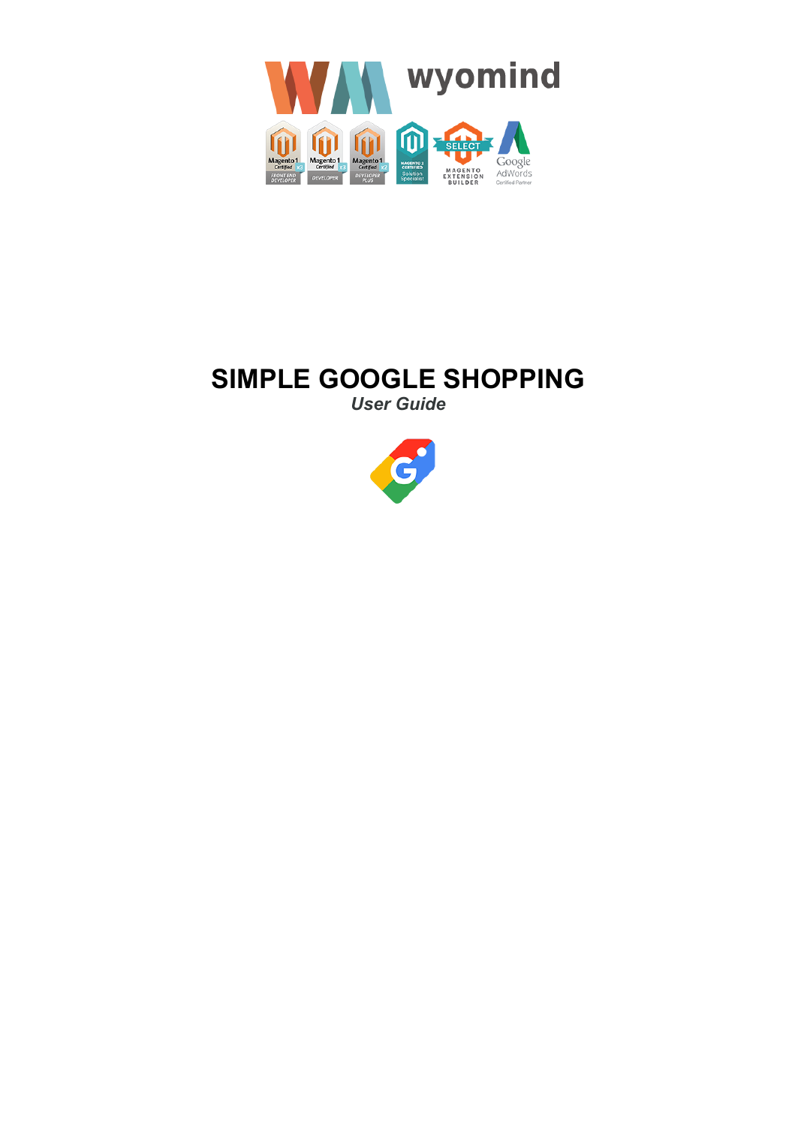

# **SIMPLE GOOGLE SHOPPING**

*User Guide*

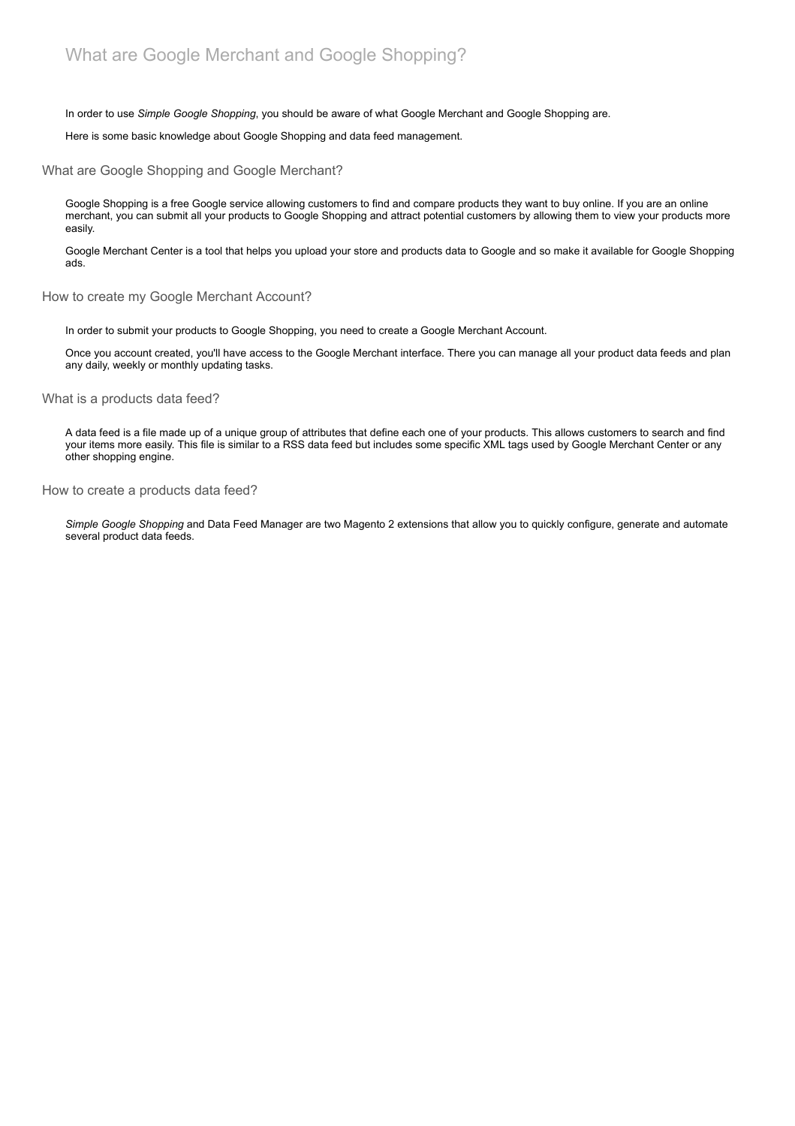In order to use *Simple Google Shopping*, you should be aware of what Google Merchant and Google Shopping are.

Here is some basic knowledge about Google Shopping and data feed management.

What are Google Shopping and Google Merchant?

Google Shopping is a free Google service allowing customers to find and compare products they want to buy online. If you are an online merchant, you can submit all your products to Google Shopping and attract potential customers by allowing them to view your products more easily.

Google Merchant Center is a tool that helps you upload your store and products data to Google and so make it available for Google Shopping ads.

How to create my Google Merchant Account?

In order to submit your products to Google Shopping, you need to create a Google Merchant Account.

Once you account created, you'll have access to the Google Merchant interface. There you can manage all your product data feeds and plan any daily, weekly or monthly updating tasks.

What is a products data feed?

A data feed is a file made up of a unique group of attributes that define each one of your products. This allows customers to search and find your items more easily. This file is similar to a RSS data feed but includes some specific XML tags used by Google Merchant Center or any other shopping engine.

How to create a products data feed?

*Simple Google Shopping* and Data Feed Manager are two Magento 2 extensions that allow you to quickly configure, generate and automate several product data feeds.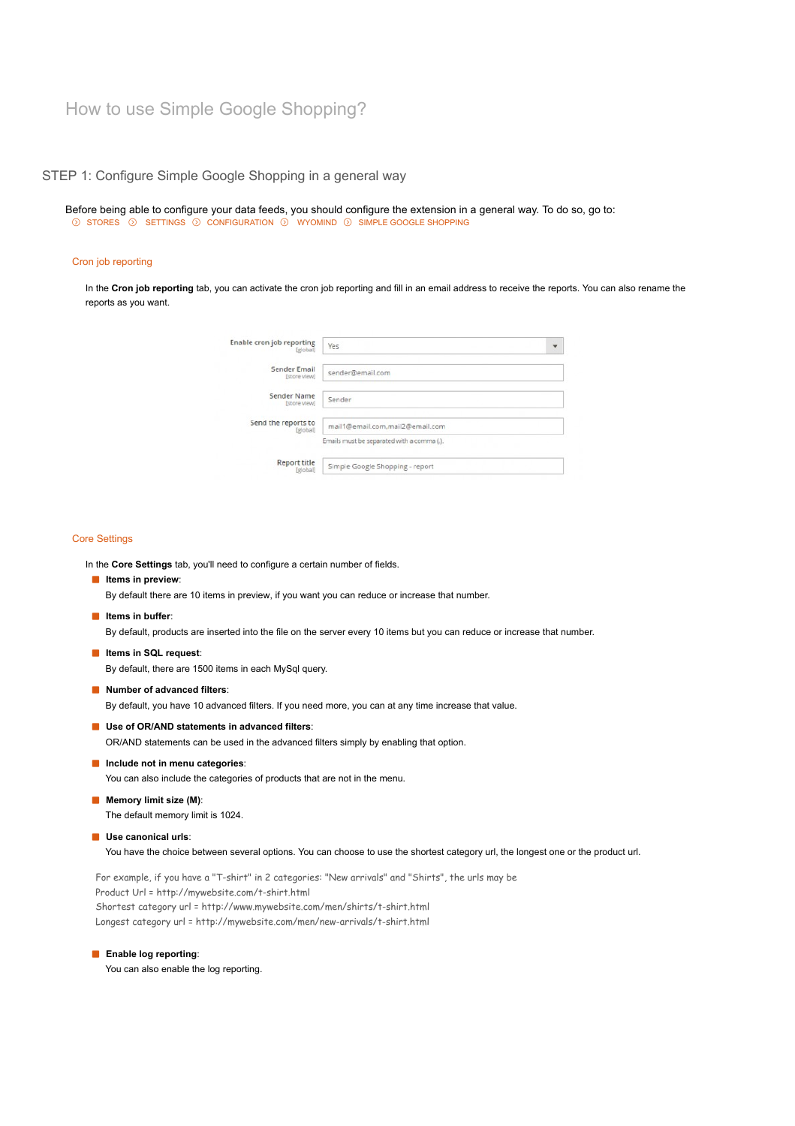# STEP 1: Configure Simple Google Shopping in a general way

Before being able to configure your data feeds, you should configure the extension in a general way. To do so, go to:  $\odot$  STORES  $\odot$  SETTINGS  $\odot$  CONFIGURATION  $\odot$  WYOMIND  $\odot$  SIMPLE GOOGLE SHOPPING

## Cron job reporting

In the **Cron job reporting** tab, you can activate the cron job reporting and fill in an email address to receive the reports. You can also rename the reports as you want.

| Enable cron job reporting<br>[global]  | Yes                                        | ٠ |
|----------------------------------------|--------------------------------------------|---|
| Sender Email<br>[store view]           | sender@email.com                           |   |
| Sender Name<br>[store view]            | Sender                                     |   |
| Send the reports to<br>[global]        | mail1@email.com,mail2@email.com            |   |
|                                        | Emails must be separated with a comma (,). |   |
| <b>Report title</b><br><i>[global]</i> | Simple Google Shopping - report            |   |

#### Core Settings

In the **Core Settings** tab, you'll need to configure a certain number of fields.

#### **In Items in preview:**

By default there are 10 items in preview, if you want you can reduce or increase that number.

**If Items in buffer:** 

By default, products are inserted into the file on the server every 10 items but you can reduce or increase that number.

**Items in SQL request**:

By default, there are 1500 items in each MySql query.

**Number of advanced filters**:

By default, you have 10 advanced filters. If you need more, you can at any time increase that value.

**Use of OR/AND statements in advanced filters**:

OR/AND statements can be used in the advanced filters simply by enabling that option.

**Include not in menu categories**:

You can also include the categories of products that are not in the menu.

- **Memory limit size (M):** The default memory limit is 1024.
- **Use canonical urls**:

You have the choice between several options. You can choose to use the shortest category url, the longest one or the product url.

For example, if you have a "T-shirt" in 2 categories: "New arrivals" and "Shirts", the urls may be Product Url = http://mywebsite.com/t-shirt.html Shortest category url = http://www.mywebsite.com/men/shirts/t-shirt.html Longest category url = http://mywebsite.com/men/new-arrivals/t-shirt.html

**Enable log reporting:** 

You can also enable the log reporting.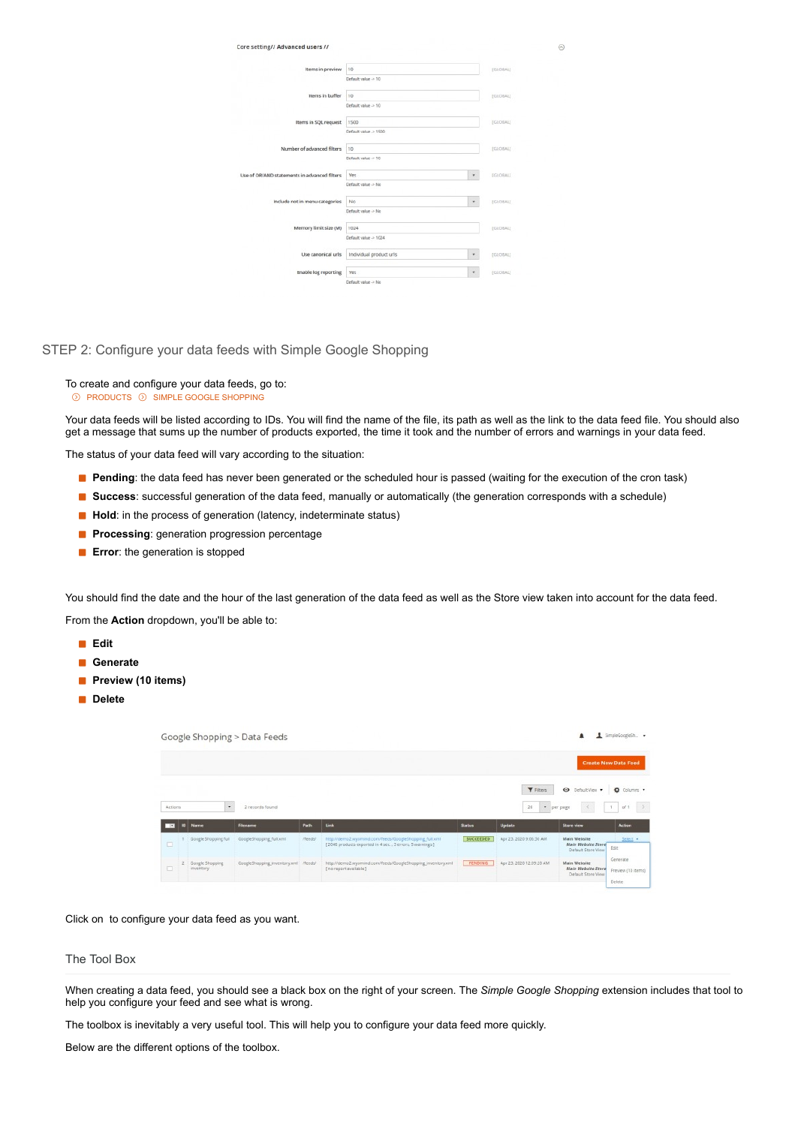| Core setting// Advanced users //             |                         |                                       |
|----------------------------------------------|-------------------------|---------------------------------------|
| Items in preview                             | 10                      | [GLOBAL]                              |
|                                              | Default value -> 10     |                                       |
| Items in buffer                              | 10                      | EGLOBAL)                              |
|                                              | Default value -> 10     |                                       |
| Items in SQL request                         | 1500                    | [GLOBAL]                              |
|                                              | Default value -> 1500   |                                       |
| Number of advanced filters                   | 10                      | (GLOBAL)                              |
|                                              | Default value -> 10     |                                       |
| Use of OR/AND statements in advanced filters | <b>Yes</b>              | [GLOBAL]<br>$\boldsymbol{\mathrm{v}}$ |
|                                              | Default value -> No     |                                       |
| Include not in menu categories               | No                      | $\star$<br>(GLOBAL)                   |
|                                              | Default value > No      |                                       |
| Memory limit size (M)                        | 1024                    | [GLOBAL]                              |
|                                              | Default value -> 1024   |                                       |
| Use canonical urls                           | Individual product urls | [GLOBAL]<br>$\mathbf{v}$              |
| <b>Enable log reporting</b>                  | <b>Yes</b>              | (GLOBAL)<br>٠                         |
|                                              | Default value -> No     |                                       |

 $\odot$ 

STEP 2: Configure your data feeds with Simple Google Shopping

To create and configure your data feeds, go to: **EXPLODUCTS ON SIMPLE GOOGLE SHOPPING** 

Your data feeds will be listed according to IDs. You will find the name of the file, its path as well as the link to the data feed file. You should also get a message that sums up the number of products exported, the time it took and the number of errors and warnings in your data feed.

The status of your data feed will vary according to the situation:

- **Pending**: the data feed has never been generated or the scheduled hour is passed (waiting for the execution of the cron task)
- **Success**: successful generation of the data feed, manually or automatically (the generation corresponds with a schedule)
- **Hold**: in the process of generation (latency, indeterminate status)
- **Processing**: generation progression percentage
- **Error**: the generation is stopped

You should find the date and the hour of the last generation of the data feed as well as the Store view taken into account for the data feed. From the **Action** dropdown, you'll be able to:

- **Edit**
- **Generate**
- **Preview (10 items)**
- **Delete**

|                          |                              | Google Shopping > Data Feeds         |         |                                                                                                                    |                  |                          |                                                                 | SimpleGoogleSh. .                        |
|--------------------------|------------------------------|--------------------------------------|---------|--------------------------------------------------------------------------------------------------------------------|------------------|--------------------------|-----------------------------------------------------------------|------------------------------------------|
|                          |                              |                                      |         |                                                                                                                    |                  |                          |                                                                 | <b>Create New Data Feed</b>              |
| Actions                  | ٠                            | 2 records found                      |         |                                                                                                                    |                  | <b>Y</b> Filters<br>20   | O Default View<br>· per page                                    | Columns +<br>$\rightarrow$<br>of 1<br>-1 |
| $\overline{\phantom{a}}$ | Name                         | Filename                             | Path    | Link                                                                                                               | <b>Status</b>    | Update                   | <b>Store view</b>                                               | <b>Action</b>                            |
| o                        | Google Shopping full         | GoogleShopping full.xml              | /feeds/ | http://demo2.wyomind.com/feeds/GoogleShopping_full.xml<br>[2046 products exported in 4 sec., 3 errors, 5 warnings] | <b>SUCCEEDED</b> | Apr 23, 2020 9:06:30 AM  | <b>Main Website</b><br>Main Website Store<br>Default Store View | Select +<br>Edit                         |
| □                        | Google Shopping<br>inventory | GoogleShopping_inventory.xml /feeds/ |         | http://demo2.wyomind.com/feeds/GoogleShopping_inventory.xml<br>[no report available]                               | PENDING          | Apr 23, 2020 12:09:20 AM | Main Website<br>Main Website Store<br>Preview (10 items)        | Generate                                 |

Click on to configure your data feed as you want.

# The Tool Box

When creating a data feed, you should see a black box on the right of your screen. The *Simple Google Shopping* extension includes that tool to help you configure your feed and see what is wrong.

The toolbox is inevitably a very useful tool. This will help you to configure your data feed more quickly.

Below are the different options of the toolbox.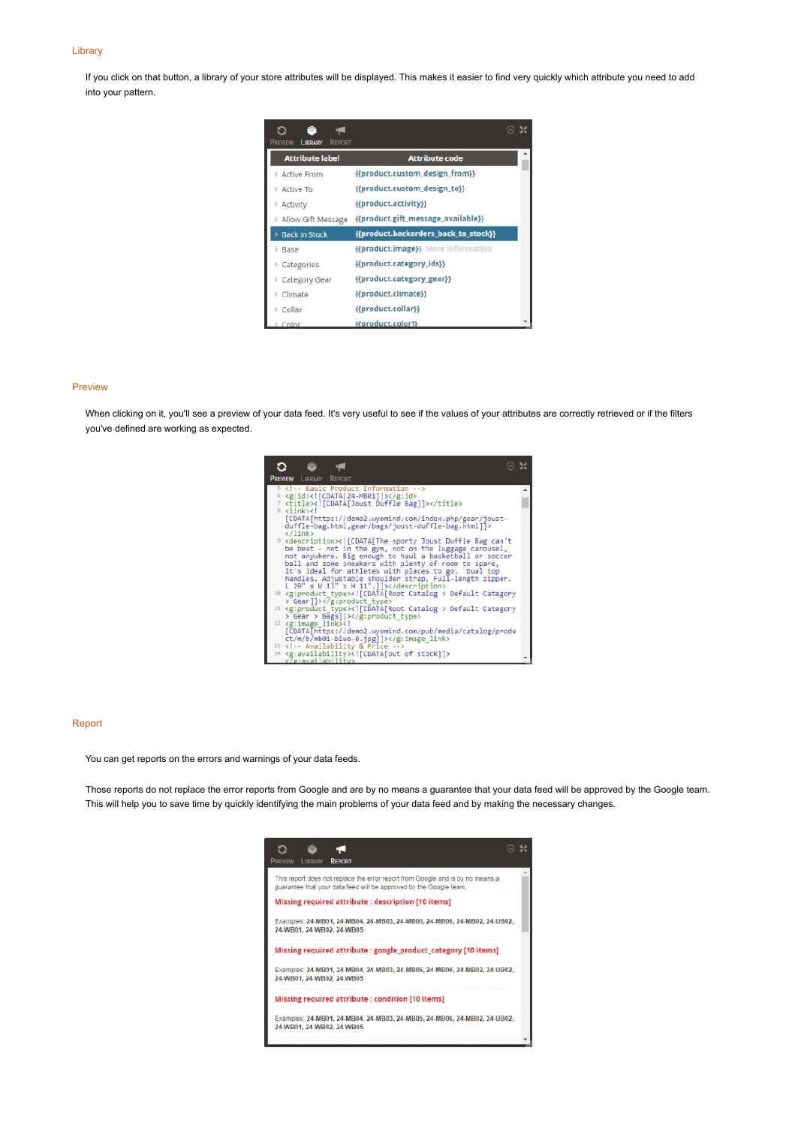#### Library

If you click on that button, a library of your store attributes will be displayed. This makes it easier to find very quickly which attribute you need to add into your pattern.

| PREVIEW<br>LIBRARY<br><b>REPORT</b> |                                      |  |
|-------------------------------------|--------------------------------------|--|
| <b>Attribute label</b>              | <b>Attribute code</b>                |  |
| Active From                         | {{product.custom_design_from}}       |  |
| <b>Active To</b>                    | {{product.custom_design_to}}         |  |
| <b>Activity</b>                     | {{product.activity}}                 |  |
| <b>Allow Gift Message</b>           | {{product.gift_message_available}}   |  |
| <b>Back in Stock</b>                | {{product.backorders_back_to_stock}} |  |
| <b>D</b> Base                       | {{product.image}} More information   |  |
| <b>Categories</b>                   | {{product.category_ids}}             |  |
| Category Gear                       | {{product.category_gear}}            |  |
| <b>Climate</b>                      | {{product.climate}}                  |  |
| <b>Collar</b>                       | {{product.collar}}                   |  |
| $C$ olor                            | {{product.color}}                    |  |

#### Preview

When clicking on it, you'll see a preview of your data feed. It's very useful to see if the values of your attributes are correctly retrieved or if the filters you've defined are working as expected.



#### Report

You can get reports on the errors and warnings of your data feeds.

Those reports do not replace the error reports from Google and are by no means a guarantee that your data feed will be approved by the Google team. This will help you to save time by quickly identifying the main problems of your data feed and by making the necessary changes.

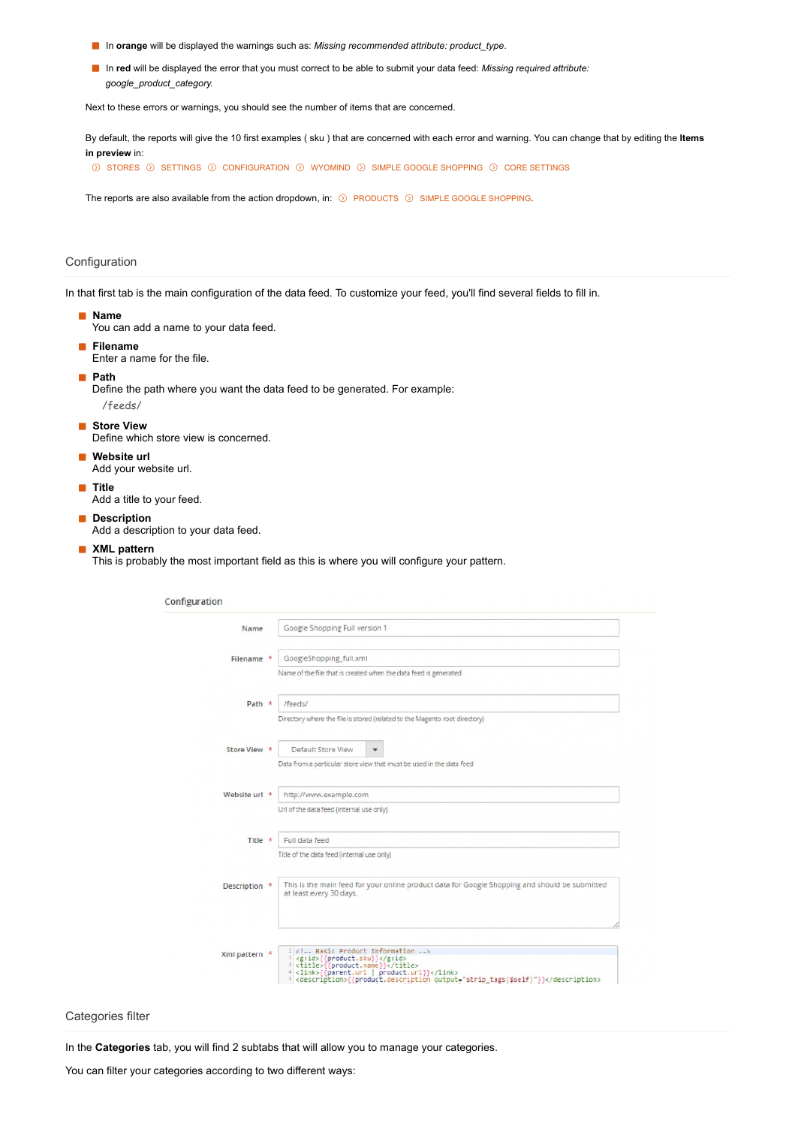- In **orange** will be displayed the warnings such as: *Missing recommended attribute: product\_type*.
- In red will be displayed the error that you must correct to be able to submit your data feed: *Missing required attribute: google\_product\_category.*

Next to these errors or warnings, you should see the number of items that are concerned.

By default, the reports will give the 10 first examples ( sku ) that are concerned with each error and warning. You can change that by editing the **Items in preview** in:

 $\circledcirc$  stores  $\circledcirc$  settings  $\circledcirc$  configuration  $\circledcirc$  wyomind  $\circledcirc$  simple google shopping  $\circledcirc$  core settings

The reports are also available from the action dropdown, in:  $\odot$  PRODUCTS  $\odot$  SIMPLE GOOGLE SHOPPING.

# Configuration

In that first tab is the main configuration of the data feed. To customize your feed, you'll find several fields to fill in.

**Name**

You can add a name to your data feed.

**Filename**

Enter a name for the file.

**Path**

Define the path where you want the data feed to be generated. For example: /feeds/

**Store View** 

Define which store view is concerned.

- **Website url**
	- Add your website url.
- **Title**

Add a title to your feed.

**Description** 

Add a description to your data feed.

#### **XML pattern**

This is probably the most important field as this is where you will configure your pattern.

| Name          | Google Shopping Full version 1                                                                                                                                     |
|---------------|--------------------------------------------------------------------------------------------------------------------------------------------------------------------|
| Filename *    | GoogleShopping_full.xml                                                                                                                                            |
|               | Name of the file that is created when the data feed is generated                                                                                                   |
| Path $*$      | /feeds/                                                                                                                                                            |
|               | Directory where the file is stored (related to the Magento root directory)                                                                                         |
| Store View *  | Default Store View<br>۰                                                                                                                                            |
|               | Data from a particular store view that must be used in the data feed                                                                                               |
| Website url * | http://www.example.com                                                                                                                                             |
|               | Url of the data feed (internal use only)                                                                                                                           |
| Title *       | Full data feed                                                                                                                                                     |
|               | Title of the data feed (internal use only)                                                                                                                         |
| Description * | This is the main feed for your online product data for Google Shopping and should be submitted<br>at least every 30 days.                                          |
|               |                                                                                                                                                                    |
| Xml pattern * | 1 Basic Product Information<br><sup>2</sup> <g:id>((product.sku)}</g:id><br><sup>3</sup> <title>{(product.name}}</title><br>4 <link/> {{parent.url   product.url}} |

Categories filter

In the **Categories** tab, you will find 2 subtabs that will allow you to manage your categories.

You can filter your categories according to two different ways: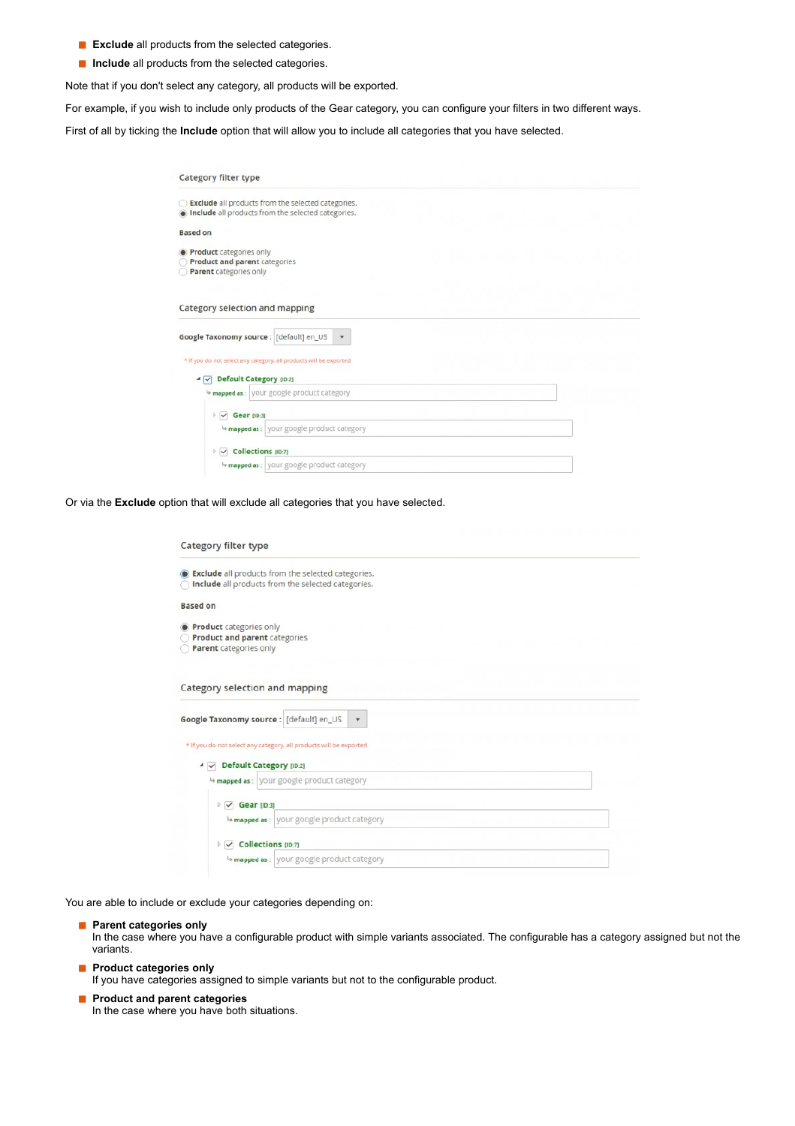- **Exclude** all products from the selected categories.
- **Include** all products from the selected categories.

Note that if you don't select any category, all products will be exported.

For example, if you wish to include only products of the Gear category, you can configure your filters in two different ways.

First of all by ticking the **Include** option that will allow you to include all categories that you have selected.

| Category filter type                                                                      |                                                                                                          |
|-------------------------------------------------------------------------------------------|----------------------------------------------------------------------------------------------------------|
|                                                                                           | Exclude all products from the selected categories.<br>Include all products from the selected categories. |
| <b>Based on</b>                                                                           |                                                                                                          |
| Product categories only<br><b>Product and parent categories</b><br>Parent categories only |                                                                                                          |
| Category selection and mapping                                                            |                                                                                                          |
|                                                                                           |                                                                                                          |
| Google Taxonomy source : [default] en_US                                                  | $\pmb{\mathrm{v}}$                                                                                       |
| * If you do not select any category, all products will be exported                        |                                                                                                          |
| ▲ √ Default Category [ID:2]                                                               |                                                                                                          |
|                                                                                           | <sup>4</sup> mapped as : your google product category                                                    |
| Gear [ID:3]                                                                               |                                                                                                          |
| $\triangleright$ $\blacktriangleright$                                                    | 4 mapped as : your google product category                                                               |
| Collections (ID:7)<br>$\triangleright$ $\checkmark$                                       |                                                                                                          |

Or via the **Exclude** option that will exclude all categories that you have selected.

| <b>Category filter type</b>                                                                                     |  |
|-----------------------------------------------------------------------------------------------------------------|--|
| <b>Exclude</b> all products from the selected categories.<br>Include all products from the selected categories. |  |
| <b>Based on</b>                                                                                                 |  |
| <b>Product</b> categories only                                                                                  |  |
| Product and parent categories<br>Parent categories only                                                         |  |
| Category selection and mapping                                                                                  |  |
| Google Taxonomy source : [default] en_US<br>$\overline{\mathbf{v}}$                                             |  |
| * If you do not select any category, all products will be exported                                              |  |
| ▲ √ Default Category [ID:2]                                                                                     |  |
| mapped as: your google product category                                                                         |  |
| $\triangleright \triangleright$ Gear [ID:3]                                                                     |  |
| + mapped as : vour google product category                                                                      |  |
| $\triangleright \triangleright$ Collections [ID:7]                                                              |  |
| 4 mapped as : vour google product category                                                                      |  |

You are able to include or exclude your categories depending on:

**Parent categories only** 

In the case where you have a configurable product with simple variants associated. The configurable has a category assigned but not the variants.

**Product categories only** 

If you have categories assigned to simple variants but not to the configurable product.

**Product and parent categories** In the case where you have both situations.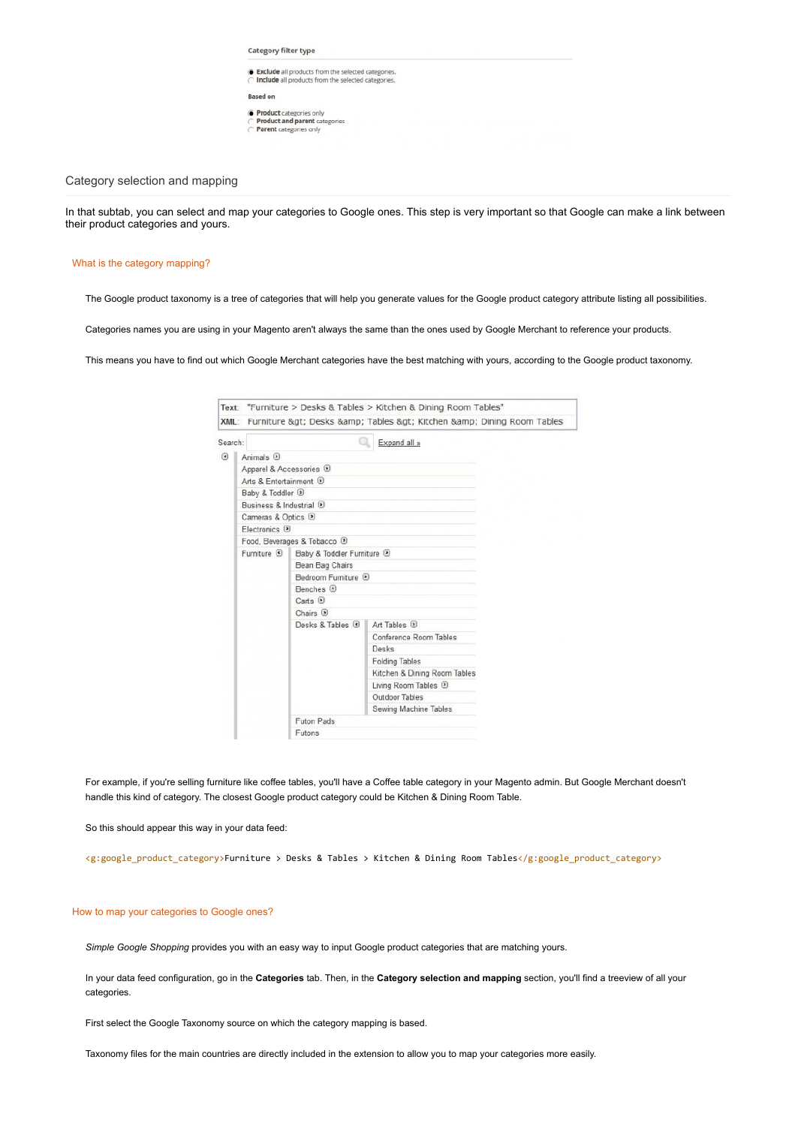Category filter type

- Exclude all products from the selected categories.<br>
◯ Include all products from the selected categories.
- **Based on**
- **Product** categories only<br>
 **Product and parent** categories<br>
 **Parent** categories only

Category selection and mapping

In that subtab, you can select and map your categories to Google ones. This step is very important so that Google can make a link between their product categories and yours.

#### What is the category mapping?

The Google product taxonomy is a tree of categories that will help you generate values for the Google product category attribute listing all possibilities.

Categories names you are using in your Magento aren't always the same than the ones used by Google Merchant to reference your products.

This means you have to find out which Google Merchant categories have the best matching with yours, according to the Google product taxonomy.

| Search:                   |                                   |                                                                 | Expand all »                                                      |  |
|---------------------------|-----------------------------------|-----------------------------------------------------------------|-------------------------------------------------------------------|--|
| $\left  \epsilon \right $ | Animals <sub>(a)</sub>            |                                                                 |                                                                   |  |
|                           | Apparel & Accessories D           |                                                                 |                                                                   |  |
|                           | Arts & Entertainment <sup>3</sup> |                                                                 |                                                                   |  |
|                           | Baby & Toddler <sup>(D)</sup>     |                                                                 |                                                                   |  |
|                           | Business & Industrial D           |                                                                 |                                                                   |  |
|                           | Cameras & Optics D                |                                                                 |                                                                   |  |
|                           | Electronics <sub>9</sub>          |                                                                 |                                                                   |  |
|                           |                                   | Food, Beverages & Tobacco D                                     |                                                                   |  |
|                           | Furniture $\bigcirc$              | Baby & Toddler Furniture <sup>1</sup>                           |                                                                   |  |
|                           |                                   | Bean Bag Chairs                                                 |                                                                   |  |
|                           |                                   | Bedroom Furniture <sup>D</sup>                                  |                                                                   |  |
|                           |                                   | Benches <sup>D</sup>                                            |                                                                   |  |
|                           |                                   | Carts <sub>D</sub>                                              |                                                                   |  |
|                           |                                   | Chairs <sup>(B)</sup><br>Desks $8$ Tables $\lceil \cdot \rceil$ |                                                                   |  |
|                           |                                   |                                                                 | Art Tables <sup>(a)</sup>                                         |  |
|                           |                                   |                                                                 | Conference Room Tables                                            |  |
|                           |                                   |                                                                 | Desks                                                             |  |
|                           |                                   |                                                                 | <b>Folding Tables</b>                                             |  |
|                           |                                   |                                                                 | Kitchen & Dining Room Tables<br>Living Room Tables <sup>(D)</sup> |  |
|                           |                                   |                                                                 | Outdoor Tables                                                    |  |
|                           |                                   |                                                                 | Sewing Machine Tables                                             |  |
|                           |                                   | Futon Pads                                                      |                                                                   |  |
|                           |                                   | Futons                                                          |                                                                   |  |

For example, if you're selling furniture like coffee tables, you'll have a Coffee table category in your Magento admin. But Google Merchant doesn't handle this kind of category. The closest Google product category could be Kitchen & Dining Room Table.

So this should appear this way in your data feed:

<g:google\_product\_category>Furniture > Desks & Tables > Kitchen & Dining Room Tables</g:google\_product\_category>

### How to map your categories to Google ones?

*Simple Google Shopping* provides you with an easy way to input Google product categories that are matching yours.

In your data feed configuration, go in the **Categories** tab. Then, in the **Category selection and mapping** section, you'll find a treeview of all your categories.

First select the Google Taxonomy source on which the category mapping is based.

Taxonomy files for the main countries are directly included in the extension to allow you to map your categories more easily.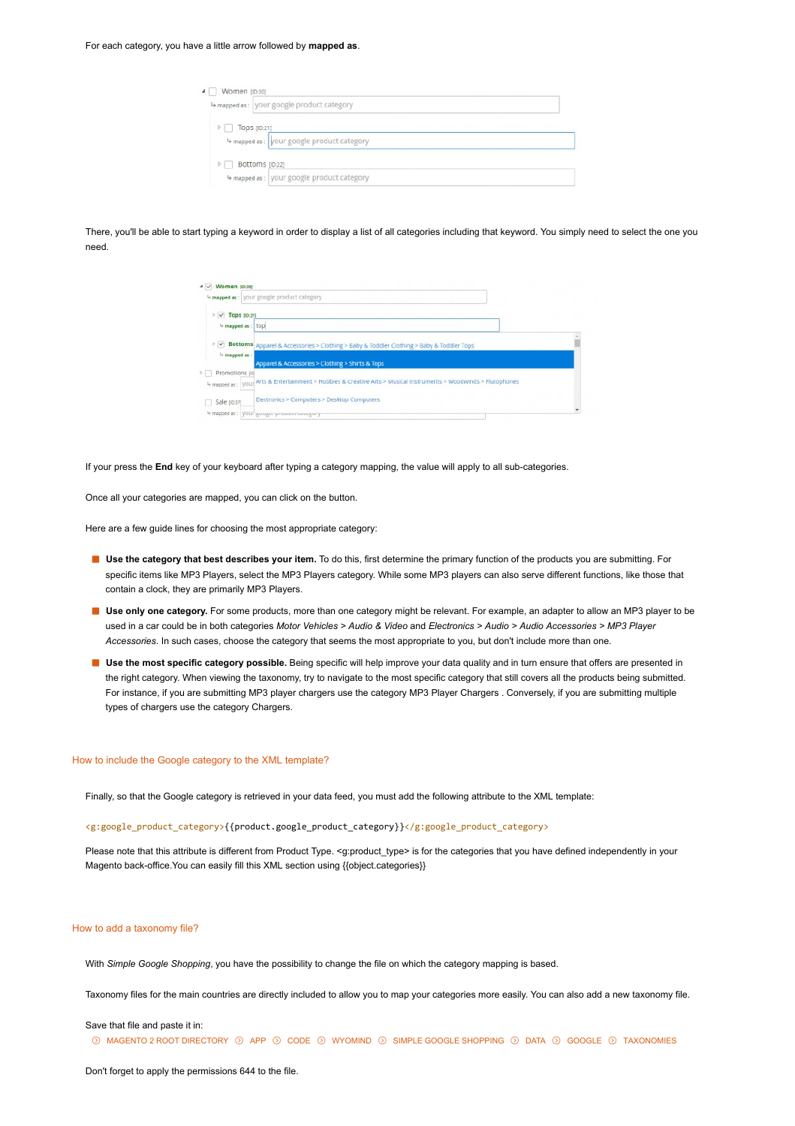| $\triangleright$   Tops [ID:21] |                                           |  |
|---------------------------------|-------------------------------------------|--|
|                                 | 4 mapped as: your google product category |  |

There, you'll be able to start typing a keyword in order to display a list of all categories including that keyword. You simply need to select the one you need.

|                                              | 4 mapped as : your google product category                                                                       |  |
|----------------------------------------------|------------------------------------------------------------------------------------------------------------------|--|
| $\triangleright \triangleright$ Tops (ID:21) |                                                                                                                  |  |
| <sup>4</sup> mapped as: top                  |                                                                                                                  |  |
|                                              | <b>Bottoms</b> Apparel & Accessories > Clothing > Baby & Toddler Clothing > Baby & Toddler Tops                  |  |
| I <sub>b</sub> mapped as:                    | Apparel & Accessories > Clothing > Shirts & Tops                                                                 |  |
| Promotions (iii)                             |                                                                                                                  |  |
|                                              | 4 mapped as: Vour Arts & Entertainment > Hobbies & Creative Arts > Musical Instruments > Woodwinds > Flutophones |  |
| Sale (10:37)                                 | Electronics > Computers > Desktop Computers                                                                      |  |
|                                              | 4 mapped as: VOUP google produce coregory                                                                        |  |

If your press the **End** key of your keyboard after typing a category mapping, the value will apply to all sub-categories.

Once all your categories are mapped, you can click on the button.

Here are a few guide lines for choosing the most appropriate category:

- **Use the category that best describes your item.** To do this, first determine the primary function of the products you are submitting. For specific items like MP3 Players, select the MP3 Players category. While some MP3 players can also serve different functions, like those that contain a clock, they are primarily MP3 Players.
- **Use only one category.** For some products, more than one category might be relevant. For example, an adapter to allow an MP3 player to be used in a car could be in both categories *Motor Vehicles > Audio & Video* and *Electronics > Audio > Audio Accessories > MP3 Player Accessories*. In such cases, choose the category that seems the most appropriate to you, but don't include more than one.
- **Use the most specific category possible.** Being specific will help improve your data quality and in turn ensure that offers are presented in the right category. When viewing the taxonomy, try to navigate to the most specific category that still covers all the products being submitted. For instance, if you are submitting MP3 player chargers use the category MP3 Player Chargers . Conversely, if you are submitting multiple types of chargers use the category Chargers.

#### How to include the Google category to the XML template?

Finally, so that the Google category is retrieved in your data feed, you must add the following attribute to the XML template:

<g:google\_product\_category>{{product.google\_product\_category}}</g:google\_product\_category>

Please note that this attribute is different from Product Type. <g:product\_type> is for the categories that you have defined independently in your Magento back-office.You can easily fill this XML section using {{object.categories}}

#### How to add a taxonomy file?

With *Simple Google Shopping*, you have the possibility to change the file on which the category mapping is based.

Taxonomy files for the main countries are directly included to allow you to map your categories more easily. You can also add a new taxonomy file.

#### Save that file and paste it in:

 $\odot$  magento 2 root directory  $\odot$  app  $\odot$  code  $\odot$  wyomind  $\odot$  simple google shopping  $\odot$  data  $\odot$  google  $\odot$  taxonomies

Don't forget to apply the permissions 644 to the file.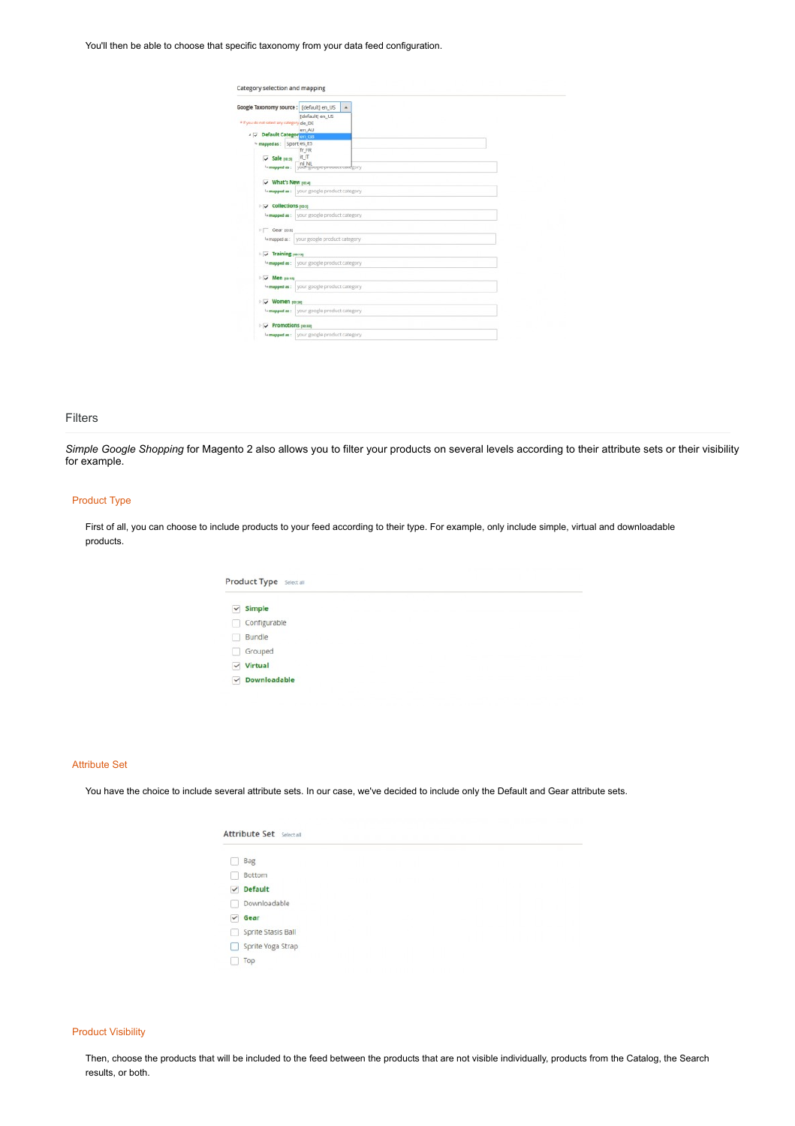## You'll then be able to choose that specific taxonomy from your data feed configuration.

| Category selection and mapping                     |                                                 |           |
|----------------------------------------------------|-------------------------------------------------|-----------|
| Google Taxonomy source : [default] en US           |                                                 | $\bullet$ |
| * If you do not select any category de DE          | [default] en_US                                 |           |
| # V Default Categor en GB                          | en AU                                           |           |
| <sup>4</sup> mapped as: Sport es_ES                | fr FR                                           |           |
| $\sqrt{$ Sale $10-31$<br>La mapped as :            | it IT<br>ní NL<br>your google prospect category |           |
| V What's New [0.4]                                 |                                                 |           |
|                                                    | 4 mapped as : your google product category      |           |
| <b>DE Collections</b> poss                         |                                                 |           |
|                                                    | 4 mapped as : your google product category      |           |
| $\triangleright \square$ Gear (0.8)                |                                                 |           |
|                                                    | 4 mapped as: your google product category       |           |
| $\vee$ Training $max$                              |                                                 |           |
|                                                    | la mapped as: your google product category      |           |
| V Men joint                                        |                                                 |           |
|                                                    | la mapped as : your google product category     |           |
| V Women [10:34]                                    |                                                 |           |
|                                                    | " mapped as: your google product category       |           |
| $\triangleright \triangleright$ Promotions [10:33] |                                                 |           |
|                                                    | 4 mapped as : your google product category      |           |

## Filters

*Simple Google Shopping* for Magento 2 also allows you to filter your products on several levels according to their attribute sets or their visibility for example.

# Product Type

First of all, you can choose to include products to your feed according to their type. For example, only include simple, virtual and downloadable products.

|              | Product Type Select all |  |  |  |
|--------------|-------------------------|--|--|--|
| $\checkmark$ | Simple                  |  |  |  |
|              | Configurable            |  |  |  |
|              | Bundle                  |  |  |  |
|              | Grouped                 |  |  |  |
| $\checkmark$ | Virtual                 |  |  |  |
| $\checkmark$ | <b>Downloadable</b>     |  |  |  |
|              |                         |  |  |  |

### Attribute Set

You have the choice to include several attribute sets. In our case, we've decided to include only the Default and Gear attribute sets.

|              | <b>Attribute Set</b> Select all |  |  |  |  |
|--------------|---------------------------------|--|--|--|--|
|              | Bag                             |  |  |  |  |
|              | Bottom                          |  |  |  |  |
| $\checkmark$ | <b>Default</b>                  |  |  |  |  |
|              | Downloadable                    |  |  |  |  |
| $\checkmark$ | Gear                            |  |  |  |  |
| R            | Sprite Stasis Ball              |  |  |  |  |
|              | Sprite Yoga Strap               |  |  |  |  |
|              | Top                             |  |  |  |  |

#### Product Visibility

Then, choose the products that will be included to the feed between the products that are not visible individually, products from the Catalog, the Search results, or both.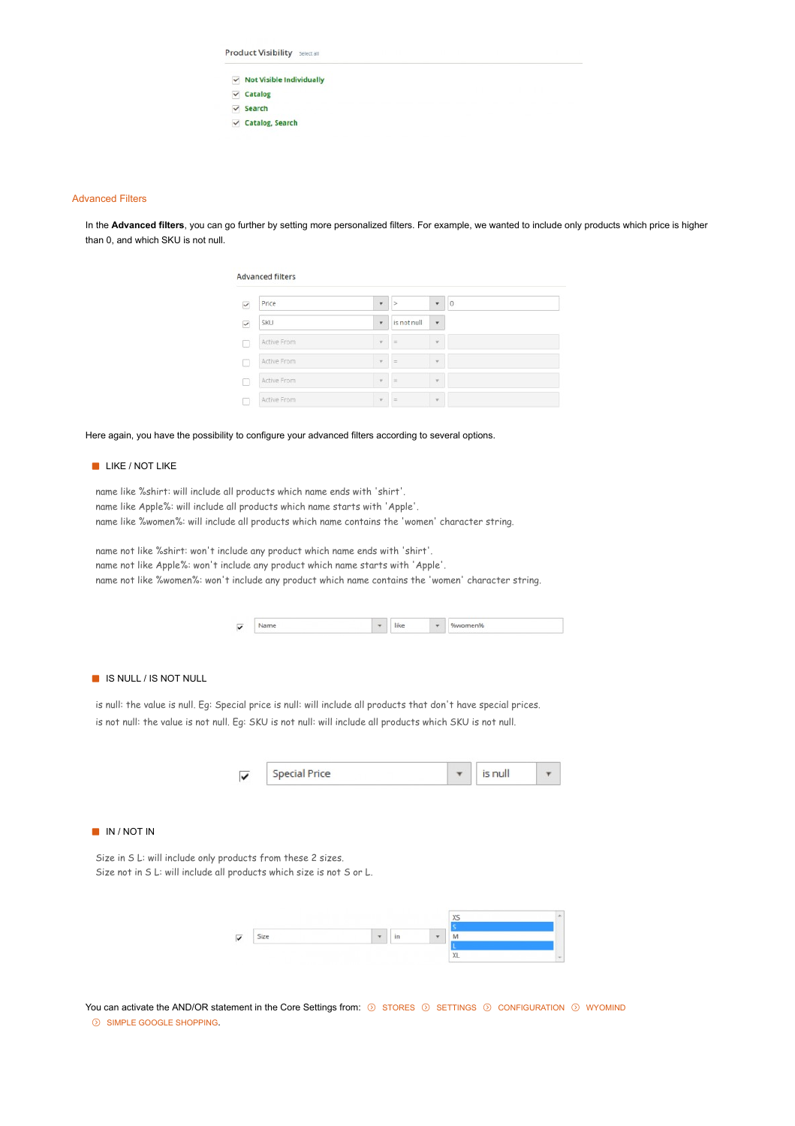| $\vee$ Not Visible Individually |  |  |  |  |
|---------------------------------|--|--|--|--|
| $\vee$ Catalog                  |  |  |  |  |
| $\vee$ Search                   |  |  |  |  |
| $\vee$ Catalog, Search          |  |  |  |  |
|                                 |  |  |  |  |

## Advanced Filters

In the **Advanced filters**, you can go further by setting more personalized filters. For example, we wanted to include only products which price is higher than 0, and which SKU is not null.

| Price       | ٠                        | ×           | Ψ                        | $\circ$ |
|-------------|--------------------------|-------------|--------------------------|---------|
| SKU         | $\overline{\phantom{a}}$ | is not null | $\overline{\phantom{a}}$ |         |
| Active From | $\mathcal{L}$            | $=$         | $\mathcal{L}$            |         |
| Active From | $\sim$                   | $=$         | $\bar{\nu}$              |         |
| Active From | $\sim$                   | . .         | $\mathcal{L}$            |         |
| Active From | v                        | $=$         | $\mathcal{R}$            |         |

## Here again, you have the possibility to configure your advanced filters according to several options.

Product Visibility Select all

## **LIKE / NOT LIKE**

name like %shirt: will include all products which name ends with 'shirt'. name like Apple%: will include all products which name starts with 'Apple'. name like %women%: will include all products which name contains the 'women' character string.

name not like %shirt: won't include any product which name ends with 'shirt'. name not like Apple%: won't include any product which name starts with 'Apple'. name not like %women%: won't include any product which name contains the 'women' character string.

| $\sqrt{2}$ |  | L. | mmen% |
|------------|--|----|-------|

# **IS NULL / IS NOT NULL**

is null: the value is null. Eg: Special price is null: will include all products that don't have special prices. is not null: the value is not null. Eg: SKU is not null: will include all products which SKU is not null.



#### IN / NOT IN

Size in S L: will include only products from these 2 sizes. Size not in S L: will include all products which size is not S or L.



You can activate the AND/OR statement in the Core Settings from:  $\odot$  STORES  $\odot$  SETTINGS  $\odot$  CONFIGURATION  $\odot$  WYOMIND  $\odot$  SIMPLE GOOGLE SHOPPING.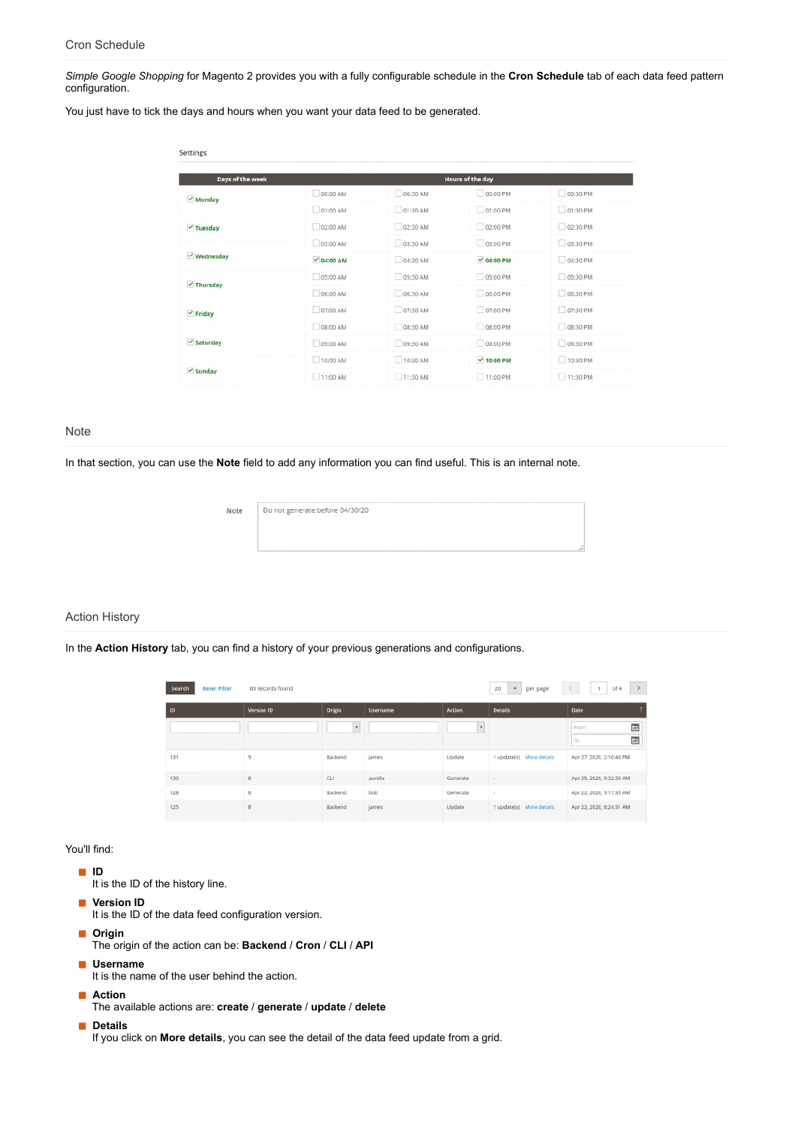*Simple Google Shopping* for Magento 2 provides you with a fully configurable schedule in the **Cron Schedule** tab of each data feed pattern configuration.

You just have to tick the days and hours when you want your data feed to be generated.

| Days of the week      | <b>Hours of the day</b> |          |                 |          |  |  |  |  |
|-----------------------|-------------------------|----------|-----------------|----------|--|--|--|--|
| $Monday$              | 00:00 AM                | 00:30 AM | 00:00 PM        | 00:30 PM |  |  |  |  |
|                       | 01:00 AM                | 01:30 AM | 01:00 PM        | 01:30 PM |  |  |  |  |
| $\checkmark$ Tuesday  | 02:00 AM                | 02:30 AM | 02:00 PM        | 02:30 PM |  |  |  |  |
| $\vee$ Wednesday      | 03:00 AM                | 03:30 AM | 03:00 PM        | 03:30 PM |  |  |  |  |
|                       | $\times$ 04:00 AM       | 04:30 AM | $\vee$ 04:00 PM | 04:30 PM |  |  |  |  |
| $\checkmark$ Thursday | 05:00 AM                | 05:30 AM | 05:00 PM        | 05:30 PM |  |  |  |  |
|                       | 06:00 AM                | 06:30 AM | 06:00 PM        | 06:30 PM |  |  |  |  |
| $\vee$ Friday         | 07:00 AM                | 07:30 AM | 07:00 PM        | 07:30 PM |  |  |  |  |
|                       | D8:00 AM                | 08:30 AM | 08:00 PM        | 08:30 PM |  |  |  |  |
| $\checkmark$ Saturday | 09:00 AM                | 09:30 AM | 09:00 PM        | 09:30 PM |  |  |  |  |
|                       | 10:00 AM                | 10:30 AM | $\vee$ 10:00 PM | 10:30 PM |  |  |  |  |
| $\vee$ Sunday         | 11:00 AM                | 11:30 AM | 11:00 PM        | 11:30 PM |  |  |  |  |

## **Note**

In that section, you can use the **Note** field to add any information you can find useful. This is an internal note.

# Action History

In the **Action History** tab, you can find a history of your previous generations and configurations.

| Search<br><b>Reset Filter</b> | 63 records found |                     |                 |               | $\star$<br>20<br>per page | $\rightarrow$<br>of 4<br>$\langle$<br>$-1$ |
|-------------------------------|------------------|---------------------|-----------------|---------------|---------------------------|--------------------------------------------|
| ID                            | Version ID       | Origin              | <b>Username</b> | <b>Action</b> | <b>Details</b>            | Date                                       |
|                               |                  | $\scriptstyle\rm w$ |                 |               |                           | 圖<br>From                                  |
|                               |                  |                     |                 |               |                           | 圖<br>To                                    |
| 131                           | 9                | Backend             | james           | Update        | 1 update(s) More details  | Apr 27, 2020, 2:10:40 PM                   |
| 130                           | g.               | <b>CU</b>           | aurelie         | Generate      |                           | Apr 25, 2020, 9:32:33 AM                   |
| 128                           | $\mathbf{g}$     | Backend             | bob             | Generate      | $\sim$                    | Apr 22, 2020, 9:17:33 AM                   |
| 125                           | 8                | Backend             | james           | Update        | 1 update(s) More details  | Apr 22, 2020, 8:24:31 AM                   |

## You'll find:

- **ID**
	- It is the ID of the history line.
- **Version ID** 
	- It is the ID of the data feed configuration version.
- **D** Origin
	- The origin of the action can be: **Backend** / **Cron** / **CLI** / **API**
- **Username**
	- It is the name of the user behind the action.
- **Action**
- The available actions are: **create** / **generate** / **update** / **delete**

# **Details**

If you click on **More details**, you can see the detail of the data feed update from a grid.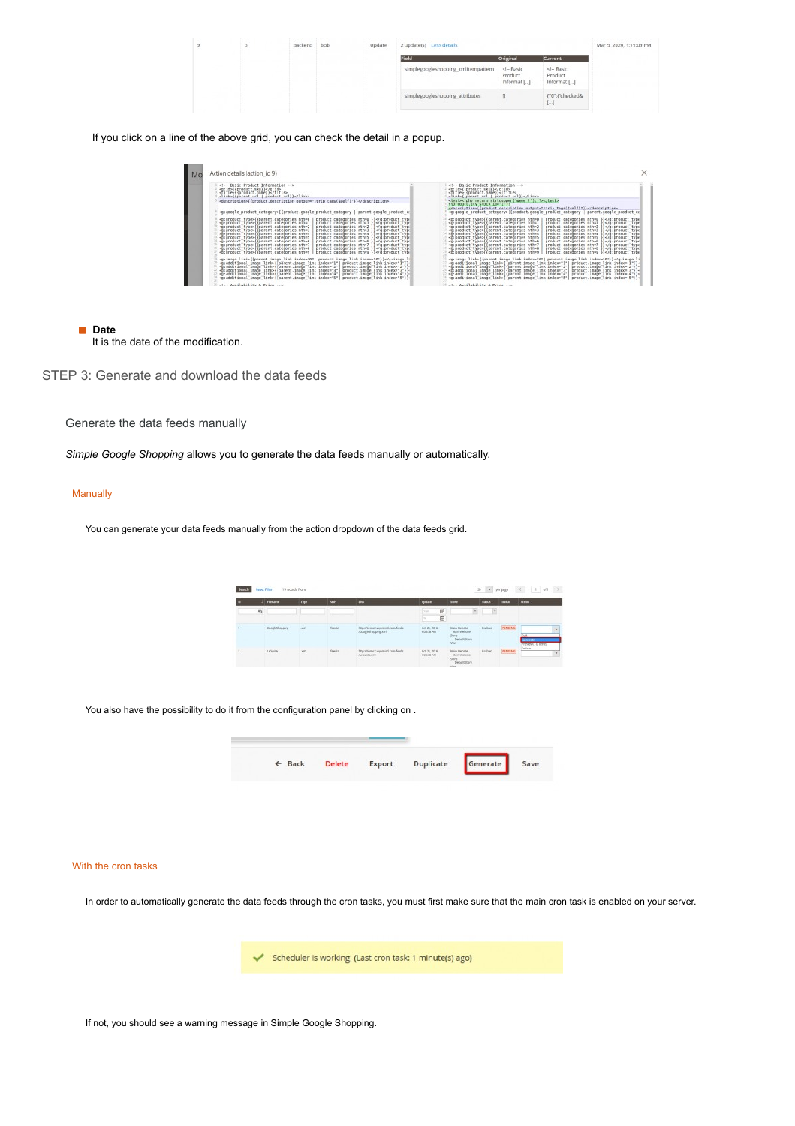|  | Backend | bob | Update | 2 update(s) Less details            |                                       |                                             | Mar 9, 2020, 1:19:09 PM |
|--|---------|-----|--------|-------------------------------------|---------------------------------------|---------------------------------------------|-------------------------|
|  |         |     |        | Field                               | Original                              | Current                                     |                         |
|  |         |     |        | simplegoogleshopping_xmlitempattern | $<$ - Basic<br>Product<br>Informat [] | $\leq -$ Basic<br>Product<br>Informat []    |                         |
|  |         |     |        | simplegoogleshopping_attributes     | $\Box$                                | ("0":["checked&<br>$\left\{ \ldots\right\}$ |                         |

If you click on a line of the above grid, you can check the detail in a popup.

| Action details (action_id 9)<br>Mo                                                                                                                                                                                                                                                                                                                                                                                                                                                                                                                                                                                                                                                                                                                                                                                                                                                                                                                                                                                                                                                                                                                                                                                                                                                                                                                                                                                                                                                                                                                                                                                                                                                     | ×                                                                                                                                                                                                                                                                                                                                                                                                                                                                                                                                                                                                                                                                                                                                                                                                                                                                                                                    |
|----------------------------------------------------------------------------------------------------------------------------------------------------------------------------------------------------------------------------------------------------------------------------------------------------------------------------------------------------------------------------------------------------------------------------------------------------------------------------------------------------------------------------------------------------------------------------------------------------------------------------------------------------------------------------------------------------------------------------------------------------------------------------------------------------------------------------------------------------------------------------------------------------------------------------------------------------------------------------------------------------------------------------------------------------------------------------------------------------------------------------------------------------------------------------------------------------------------------------------------------------------------------------------------------------------------------------------------------------------------------------------------------------------------------------------------------------------------------------------------------------------------------------------------------------------------------------------------------------------------------------------------------------------------------------------------|----------------------------------------------------------------------------------------------------------------------------------------------------------------------------------------------------------------------------------------------------------------------------------------------------------------------------------------------------------------------------------------------------------------------------------------------------------------------------------------------------------------------------------------------------------------------------------------------------------------------------------------------------------------------------------------------------------------------------------------------------------------------------------------------------------------------------------------------------------------------------------------------------------------------|
| et -- Basic Product Information -- ><br><title>{{product.name}}</title><br><link/> {{parent.url   product.url}}<br><g:google category="" product="">{{product.google product category   parent.google product c/</g:google>                                                                                                                                                                                                                                                                                                                                                                                                                                                                                                                                                                                                                                                                                                                                                                                                                                                                                                                                                                                                                                                                                                                                                                                                                                                                                                                                                                                                                                                            | Basic Product Information<br><m:id>{{product.sku}}</m:id><br><title>{{product.name}}</title><br><link/> {{parent_url   product_url}}<br><test><?php return strtoupper{'weee !'}; ?></test><br>({product.gty stock id="1")}<br>edescription=((product.description output="strip_tags(\$self)"))=/description=                                                                                                                                                                                                                                                                                                                                                                                                                                                                                                                                                                                                         |
| <p:product type="">{{parent.categories nth=0<br/>product.categories nth=0 }}product.categories nth=1 }}spiproduct type&gt;{{parent categories nthal<br/>product.categories ath=2 lie/g:product type<br/>product.categories ath=3 }}<br/> spinroduct type&gt;{{parent.categories nth=3<br/>product.categories nth=4 11product.categories nthm5 }}<p:product"type>{{parent.categories_nth=5<br/>=B:Broduct type=((parent.categories nth=6)<br>product.categories nth=6 ))co:product type&gt;{{parent.categories nth=7<br/>product.categories ath=7 }}product.categories ath=8 }}spinroduct type&gt;{{parent categories nth=8<br/><p:product type="">{{parent.categories nth=9<br/>product.categories ath=9 }}<td><sup>18</sup> <p:product_type>{{parent,categories_nth=0<br/>product.categories_sth=0_}}product.categories ath=1 }}spigraduct type&gt;{{parent categories nthat<br/>1) «g:product type» ((parent.categories nth=2)<br/>product.categories mth=2 }}product.categories ath=3 }}11 <br/> sproduct type&gt;{{parent.categories nth=3<br/><sup>34</sup> «g:product type»((parent.categories nth=4<br/>product.categories mth=4 }}product.categories ath=5 }}coloroduct type&gt;{{parent.categories_nth=5<br>=0:0roduct type=((parent.categories nth=6)<br/>product.categories ath=6 })=/d:product_type<br/>product.categories_sth=7 }}<sup>17</sup> <p:product type="">{{parent.categories nth=7<br/>product.categories mth=8 }}Il spraroduct type»((parent categories nth+8)<br/><sup>33</sup> <p:product type="">{{parent.categories nth=9<br/>product.categories mth=9 }}</p:product></p:product></br></p:product_type></td></p:product></br></p:product"type></p:product> | <sup>18</sup> <p:product_type>{{parent,categories_nth=0<br/>product.categories_sth=0_}}product.categories ath=1 }}spigraduct type&gt;{{parent categories nthat<br/>1) «g:product type» ((parent.categories nth=2)<br/>product.categories mth=2 }}product.categories ath=3 }}11 <br/> sproduct type&gt;{{parent.categories nth=3<br/><sup>34</sup> «g:product type»((parent.categories nth=4<br/>product.categories mth=4 }}product.categories ath=5 }}coloroduct type&gt;{{parent.categories_nth=5<br>=0:0roduct type=((parent.categories nth=6)<br/>product.categories ath=6 })=/d:product_type<br/>product.categories_sth=7 }}<sup>17</sup> <p:product type="">{{parent.categories nth=7<br/>product.categories mth=8 }}Il spraroduct type»((parent categories nth+8)<br/><sup>33</sup> <p:product type="">{{parent.categories nth=9<br/>product.categories mth=9 }}</p:product></p:product></br></p:product_type> |
| <p:image link="">{{parent.image link index="0"  product.image link index="0"}}<br <appartitional_image_link=""/>{{parent.image_link_index="1"  product.image_link_index="1"}}<br/>«p:additional image link»((parent.image link index="2")<br/>product.image link index-'2"))-<br/>[2] co:additional image link&gt;{{parent.image link index="3"  <br/>product.image link index "3"}}-<br/>«0:additional image link»((parent image link index="4")<br/>product.image link index="4"&gt;)=<br/>product.image link index="5"}}-<br/><p:additional image="" link="">{{parent.image link index="5"}</p:additional></p:image>                                                                                                                                                                                                                                                                                                                                                                                                                                                                                                                                                                                                                                                                                                                                                                                                                                                                                                                                                                                                                                                                | <p:image link="">{{parent.image link index="0"  product.image link index="0"}}22 <g:additional image="" link="">{{pBrent.image link index="1"  product.image link index="1"}}-<br/>22 =p:additional image Link={{parent.image Link index="2"   product.image Link index="2"})=<br/>34 <p:additional image="" link="">{{parent.image link index="3"<br/>product.image link index="3"}}-<br/>«G:additional image link»((parent image link index»"4"<br/>product.image link index="4"))=<br/><g:additional image="" link="">{{parent.image link index="5"   product.image link index="5"}}-</g:additional></p:additional></g:additional></p:image>                                                                                                                                                                                                                                                                      |
| 35 et., Availability & Price                                                                                                                                                                                                                                                                                                                                                                                                                                                                                                                                                                                                                                                                                                                                                                                                                                                                                                                                                                                                                                                                                                                                                                                                                                                                                                                                                                                                                                                                                                                                                                                                                                                           | Il el., Availability & Price                                                                                                                                                                                                                                                                                                                                                                                                                                                                                                                                                                                                                                                                                                                                                                                                                                                                                         |

**Date** It is the date of the modification.

STEP 3: Generate and download the data feeds

Generate the data feeds manually

*Simple Google Shopping* allows you to generate the data feeds manually or automatically.

## **Manually**

You can generate your data feeds manually from the action dropdown of the data feeds grid.

|   | <b>Fösstern</b> | Type        | Path          | <b>Link</b>                                                | Update                      | <b>Slove</b>                                   | <b>Black</b> | <b>Blakes</b>  | Askims                                         |
|---|-----------------|-------------|---------------|------------------------------------------------------------|-----------------------------|------------------------------------------------|--------------|----------------|------------------------------------------------|
| 局 |                 |             |               |                                                            | 国<br><b>From:</b>           | $\omega$                                       | ×.           |                |                                                |
|   |                 |             |               |                                                            | 目<br><b>Ita</b>             |                                                |              |                |                                                |
|   | Elecyhethoparry | 1001        | <b>Seeds:</b> | Mito A'MentralTunckenmol.com, Teeds<br>About Winners Limit | GIR 34, 2018.<br>6/05/38 AM | Billain's Well-Alfab<br>Man Webcas<br>Store:   | Enabled      | <b>FEMOUND</b> | $\sim$                                         |
|   |                 |             |               |                                                            |                             | Default time<br>View.                          |              |                | <b>MARKET</b><br><b>LOWER MARKET</b><br>Deleta |
|   | Legislate       | <b>SOFA</b> | <b>Keedor</b> | Mápia/demail: wepomind.com/feeds<br>Andaldeam!             | DOL24, 2016.<br>60558 AM    | <b>Intain Website</b><br>Main Webble<br>Store- | Enabled      | <b>FINDING</b> | $\overline{\phantom{a}}$                       |

You also have the possibility to do it from the configuration panel by clicking on .



### With the cron tasks

In order to automatically generate the data feeds through the cron tasks, you must first make sure that the main cron task is enabled on your server.

Scheduler is working. (Last cron task: 1 minute(s) ago)

If not, you should see a warning message in Simple Google Shopping.